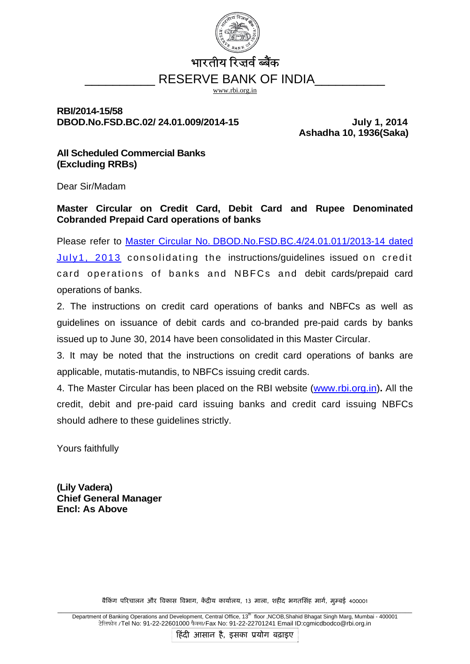

# भारतीय रिजर्व ब्बैंक RESERVE BANK OF INDIA

www.rbi.org.in

#### **RBI/2014-15/58**  DBOD.No.FSD.BC.02/ 24.01.009/2014-15 July 1, 2014

 **Ashadha 10, 1936(Saka)** 

#### **All Scheduled Commercial Banks (Excluding RRBs)**

Dear Sir/Madam

**Master Circular on Credit Card, Debit Card and Rupee Denominated Cobranded Prepaid Card operations of banks** 

Please refer to [Master Circular No.](http://rbi.org.in/scripts/BS_ViewMasCirculardetails.aspx?id=8087) [DBOD.No.FSD.BC.4/24.01.011/2013-14 dated](http://rbi.org.in/scripts/BS_ViewMasCirculardetails.aspx?id=8087)  [July1, 2013](http://rbi.org.in/scripts/BS_ViewMasCirculardetails.aspx?id=8087) consolidating the instructions/guidelines issued on credit card operations of banks and NBFCs and debit cards/prepaid card operations of banks.

2. The instructions on credit card operations of banks and NBFCs as well as guidelines on issuance of debit cards and co-branded pre-paid cards by banks issued up to June 30, 2014 have been consolidated in this Master Circular.

3. It may be noted that the instructions on credit card operations of banks are applicable, mutatis-mutandis, to NBFCs issuing credit cards.

4. The Master Circular has been placed on the RBI website ([www.rbi.org.in](http://www.rbi.org.in/))**.** All the credit, debit and pre-paid card issuing banks and credit card issuing NBFCs should adhere to these guidelines strictly.

Yours faithfully

**(Lily Vadera) Chief General Manager Encl: As Above** 

बैकिंग परिचालन और विकास विभाग, केंद्रीय कार्यालय, 13 माला, शहीद भगतसिंह मार्ग, मुम्बई 400001

Department of Banking Operations and Development, Central Office, 13<sup>th</sup> floor, NCOB, Shahid Bhagat Singh Marg, Mumbai - 400001 टेलिफोन /Tel No: 91-22-22601000 फैक्स/Fax No: 91-22-22701241 Email ID:cgmicdbodco@rbi.org.in

हिंदी आसान है, इसका प्रयोग बढ़ाइए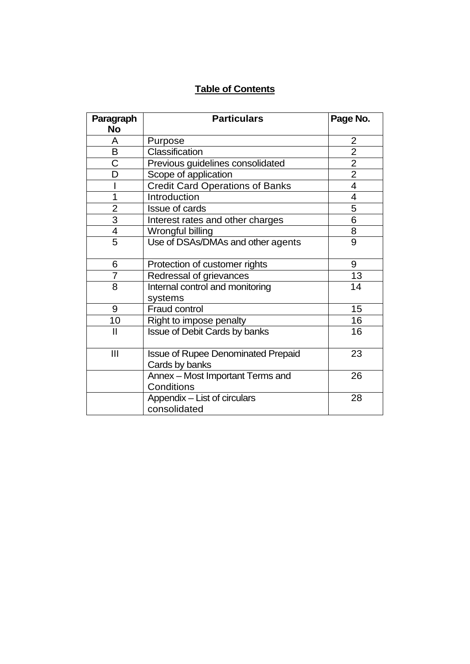## **Table of Contents**

| Paragraph                | <b>Particulars</b>                                          | Page No.       |
|--------------------------|-------------------------------------------------------------|----------------|
| <b>No</b>                |                                                             |                |
| A                        | Purpose                                                     | 2              |
| B                        | Classification                                              | $\overline{2}$ |
| Ċ                        | Previous guidelines consolidated                            | $\overline{2}$ |
| D                        | Scope of application                                        | $\overline{2}$ |
|                          | <b>Credit Card Operations of Banks</b>                      | 4              |
| 1                        | Introduction                                                | 4              |
| $\overline{2}$           | Issue of cards                                              | 5              |
| $\overline{3}$           | Interest rates and other charges                            | 6              |
| $\overline{\mathcal{A}}$ | Wrongful billing                                            | 8              |
| 5                        | Use of DSAs/DMAs and other agents                           | 9              |
| 6                        | Protection of customer rights                               | 9              |
| 7                        | Redressal of grievances                                     | 13             |
| 8                        | Internal control and monitoring                             | 14             |
|                          | systems                                                     |                |
| 9                        | Fraud control                                               | 15             |
| 10                       | Right to impose penalty                                     | 16             |
| $\mathbf{I}$             | <b>Issue of Debit Cards by banks</b>                        | 16             |
| III                      | <b>Issue of Rupee Denominated Prepaid</b><br>Cards by banks | 23             |
|                          | Annex - Most Important Terms and<br>Conditions              | 26             |
|                          | Appendix - List of circulars<br>consolidated                | 28             |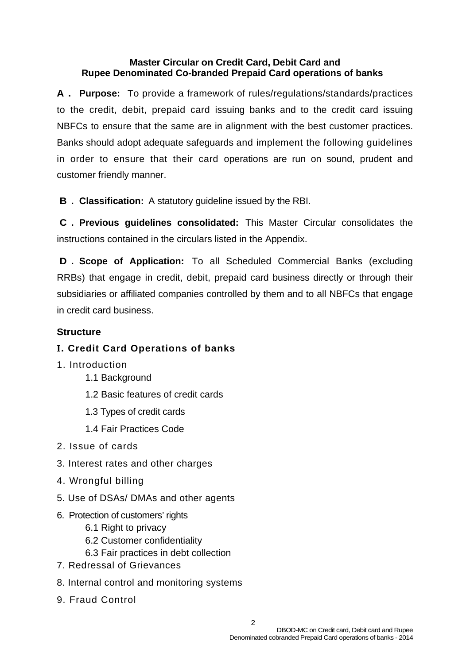#### **Master Circular on Credit Card, Debit Card and Rupee Denominated Co-branded Prepaid Card operations of banks**

**A. Purpose:** To provide a framework of rules/regulations/standards/practices to the credit, debit, prepaid card issuing banks and to the credit card issuing NBFCs to ensure that the same are in alignment with the best customer practices. Banks should adopt adequate safeguards and implement the following guidelines in order to ensure that their card operations are run on sound, prudent and customer friendly manner.

**B. Classification:** A statutory guideline issued by the RBI.

**C. Previous guidelines consolidated:** This Master Circular consolidates the instructions contained in the circulars listed in the Appendix.

**D. Scope of Application:** To all Scheduled Commercial Banks (excluding RRBs) that engage in credit, debit, prepaid card business directly or through their subsidiaries or affiliated companies controlled by them and to all NBFCs that engage in credit card business.

#### **Structure**

## **I. Credit Card Operations of banks**

- 1. Introduction
	- 1.1 Background
	- 1.2 Basic features of credit cards
	- 1.3 Types of credit cards
	- 1.4 Fair Practices Code
- 2. Issue of cards
- 3. Interest rates and other charges
- 4. Wrongful billing
- 5. Use of DSAs/ DMAs and other agents
- 6. Protection of customers' rights
	- 6.1 Right to privacy
	- 6.2 Customer confidentiality
	- 6.3 Fair practices in debt collection
- 7. Redressal of Grievances
- 8. Internal control and monitoring systems
- 9. Fraud Control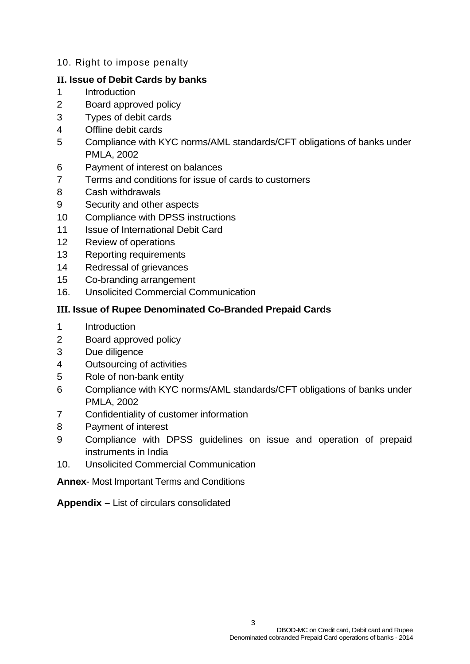#### 10. Right to impose penalty

#### **II. Issue of Debit Cards by banks**

- 1 Introduction
- 2 Board approved policy
- 3 Types of debit cards
- 4 Offline debit cards
- 5 Compliance with KYC norms/AML standards/CFT obligations of banks under PMLA, 2002
- 6 Payment of interest on balances
- 7 Terms and conditions for issue of cards to customers
- 8 Cash withdrawals
- 9 Security and other aspects
- 10 Compliance with DPSS instructions
- 11 **Issue of International Debit Card**
- 12 Review of operations
- 13 Reporting requirements
- 14 Redressal of grievances
- 15 Co-branding arrangement
- 16. Unsolicited Commercial Communication

## **III. Issue of Rupee Denominated Co-Branded Prepaid Cards**

- 1 Introduction
- 2 Board approved policy
- 3 Due diligence
- 4 Outsourcing of activities
- 5 Role of non-bank entity
- 6 Compliance with KYC norms/AML standards/CFT obligations of banks under PMLA, 2002
- 7 Confidentiality of customer information
- 8 Payment of interest
- 9 Compliance with DPSS guidelines on issue and operation of prepaid instruments in India
- 10. Unsolicited Commercial Communication

**Annex**- Most Important Terms and Conditions

**Appendix –** List of circulars consolidated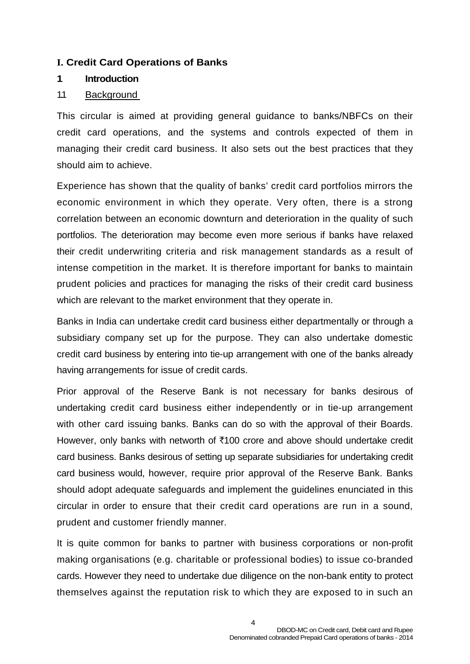#### **I. Credit Card Operations of Banks**

#### **1 Introduction**

#### 1.1 Background

This circular is aimed at providing general guidance to banks/NBFCs on their credit card operations, and the systems and controls expected of them in managing their credit card business. It also sets out the best practices that they should aim to achieve.

Experience has shown that the quality of banks' credit card portfolios mirrors the economic environment in which they operate. Very often, there is a strong correlation between an economic downturn and deterioration in the quality of such portfolios. The deterioration may become even more serious if banks have relaxed their credit underwriting criteria and risk management standards as a result of intense competition in the market. It is therefore important for banks to maintain prudent policies and practices for managing the risks of their credit card business which are relevant to the market environment that they operate in.

Banks in India can undertake credit card business either departmentally or through a subsidiary company set up for the purpose. They can also undertake domestic credit card business by entering into tie-up arrangement with one of the banks already having arrangements for issue of credit cards.

Prior approval of the Reserve Bank is not necessary for banks desirous of undertaking credit card business either independently or in tie-up arrangement with other card issuing banks. Banks can do so with the approval of their Boards. However, only banks with networth of `100 crore and above should undertake credit card business. Banks desirous of setting up separate subsidiaries for undertaking credit card business would, however, require prior approval of the Reserve Bank. Banks should adopt adequate safeguards and implement the guidelines enunciated in this circular in order to ensure that their credit card operations are run in a sound, prudent and customer friendly manner.

It is quite common for banks to partner with business corporations or non-profit making organisations (e.g. charitable or professional bodies) to issue co-branded cards. However they need to undertake due diligence on the non-bank entity to protect themselves against the reputation risk to which they are exposed to in such an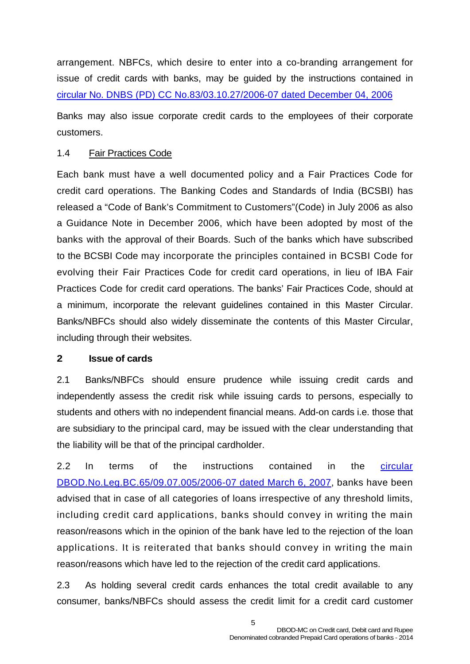arrangement. NBFCs, which desire to enter into a co-branding arrangement for issue of credit cards with banks, may be guided by the instructions contained in [circular No. DNBS \(PD\) CC No.83/03.10.27/2006-07 dated December 04, 2006](http://www.rbi.org.in/scripts/NotificationUser.aspx?Id=3195&Mode=0)

Banks may also issue corporate credit cards to the employees of their corporate customers.

#### 1.4 Fair Practices Code

Each bank must have a well documented policy and a Fair Practices Code for credit card operations. The Banking Codes and Standards of India (BCSBI) has released a "Code of Bank's Commitment to Customers"(Code) in July 2006 as also a Guidance Note in December 2006, which have been adopted by most of the banks with the approval of their Boards. Such of the banks which have subscribed to the BCSBI Code may incorporate the principles contained in BCSBI Code for evolving their Fair Practices Code for credit card operations, in lieu of IBA Fair Practices Code for credit card operations. The banks' Fair Practices Code, should at a minimum, incorporate the relevant guidelines contained in this Master Circular. Banks/NBFCs should also widely disseminate the contents of this Master Circular, including through their websites.

#### **2 Issue of cards**

2.1 Banks/NBFCs should ensure prudence while issuing credit cards and independently assess the credit risk while issuing cards to persons, especially to students and others with no independent financial means. Add-on cards i.e. those that are subsidiary to the principal card, may be issued with the clear understanding that the liability will be that of the principal cardholder.

2.2 In terms of the instructions contained in the circular [DBOD.No.Leg.BC.65/09.07.005/2006-07 dated March 6, 2007,](http://www.rbi.org.in/scripts/NotificationUser.aspx?Id=3315&Mode=0) banks have been advised that in case of all categories of loans irrespective of any threshold limits, including credit card applications, banks should convey in writing the main reason/reasons which in the opinion of the bank have led to the rejection of the loan applications. It is reiterated that banks should convey in writing the main reason/reasons which have led to the rejection of the credit card applications.

2.3 As holding several credit cards enhances the total credit available to any consumer, banks/NBFCs should assess the credit limit for a credit card customer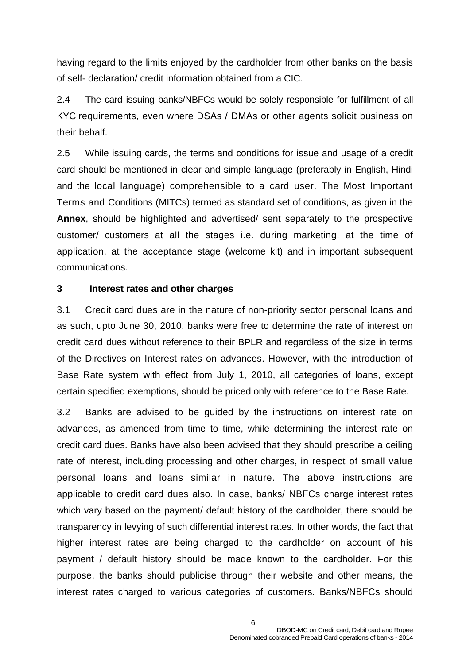having regard to the limits enjoyed by the cardholder from other banks on the basis of self- declaration/ credit information obtained from a CIC.

2.4 The card issuing banks/NBFCs would be solely responsible for fulfillment of all KYC requirements, even where DSAs / DMAs or other agents solicit business on their behalf.

2.5 While issuing cards, the terms and conditions for issue and usage of a credit card should be mentioned in clear and simple language (preferably in English, Hindi and the local language) comprehensible to a card user. The Most Important Terms and Conditions (MITCs) termed as standard set of conditions, as given in the **Annex**, should be highlighted and advertised/ sent separately to the prospective customer/ customers at all the stages i.e. during marketing, at the time of application, at the acceptance stage (welcome kit) and in important subsequent communications.

#### **3 Interest rates and other charges**

3.1 Credit card dues are in the nature of non-priority sector personal loans and as such, upto June 30, 2010, banks were free to determine the rate of interest on credit card dues without reference to their BPLR and regardless of the size in terms of the Directives on Interest rates on advances. However, with the introduction of Base Rate system with effect from July 1, 2010, all categories of loans, except certain specified exemptions, should be priced only with reference to the Base Rate.

3.2 Banks are advised to be guided by the instructions on interest rate on advances, as amended from time to time, while determining the interest rate on credit card dues. Banks have also been advised that they should prescribe a ceiling rate of interest, including processing and other charges, in respect of small value personal loans and loans similar in nature. The above instructions are applicable to credit card dues also. In case, banks/ NBFCs charge interest rates which vary based on the payment/ default history of the cardholder, there should be transparency in levying of such differential interest rates. In other words, the fact that higher interest rates are being charged to the cardholder on account of his payment / default history should be made known to the cardholder. For this purpose, the banks should publicise through their website and other means, the interest rates charged to various categories of customers. Banks/NBFCs should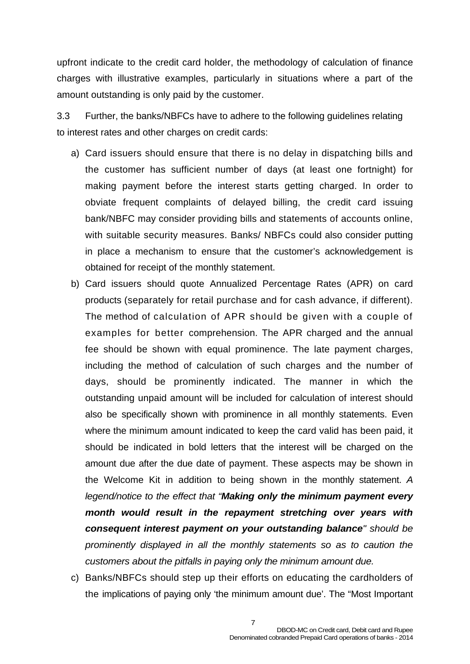upfront indicate to the credit card holder, the methodology of calculation of finance charges with illustrative examples, particularly in situations where a part of the amount outstanding is only paid by the customer.

3.3 Further, the banks/NBFCs have to adhere to the following guidelines relating to interest rates and other charges on credit cards:

- a) Card issuers should ensure that there is no delay in dispatching bills and the customer has sufficient number of days (at least one fortnight) for making payment before the interest starts getting charged. In order to obviate frequent complaints of delayed billing, the credit card issuing bank/NBFC may consider providing bills and statements of accounts online, with suitable security measures. Banks/ NBFCs could also consider putting in place a mechanism to ensure that the customer's acknowledgement is obtained for receipt of the monthly statement.
- b) Card issuers should quote Annualized Percentage Rates (APR) on card products (separately for retail purchase and for cash advance, if different). The method of calculation of APR should be given with a couple of examples for better comprehension. The APR charged and the annual fee should be shown with equal prominence. The late payment charges, including the method of calculation of such charges and the number of days, should be prominently indicated. The manner in which the outstanding unpaid amount will be included for calculation of interest should also be specifically shown with prominence in all monthly statements. Even where the minimum amount indicated to keep the card valid has been paid, it should be indicated in bold letters that the interest will be charged on the amount due after the due date of payment. These aspects may be shown in the Welcome Kit in addition to being shown in the monthly statement. *A legend/notice to the effect that "Making only the minimum payment every month would result in the repayment stretching over years with consequent interest payment on your outstanding balance" should be prominently displayed in all the monthly statements so as to caution the customers about the pitfalls in paying only the minimum amount due.*
- c) Banks/NBFCs should step up their efforts on educating the cardholders of the implications of paying only 'the minimum amount due'. The "Most Important

7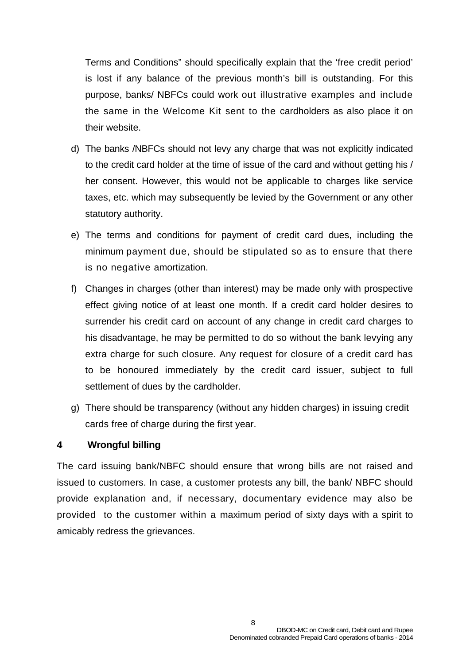Terms and Conditions" should specifically explain that the 'free credit period' is lost if any balance of the previous month's bill is outstanding. For this purpose, banks/ NBFCs could work out illustrative examples and include the same in the Welcome Kit sent to the cardholders as also place it on their website.

- d) The banks /NBFCs should not levy any charge that was not explicitly indicated to the credit card holder at the time of issue of the card and without getting his / her consent. However, this would not be applicable to charges like service taxes, etc. which may subsequently be levied by the Government or any other statutory authority.
- e) The terms and conditions for payment of credit card dues, including the minimum payment due, should be stipulated so as to ensure that there is no negative amortization.
- f) Changes in charges (other than interest) may be made only with prospective effect giving notice of at least one month. If a credit card holder desires to surrender his credit card on account of any change in credit card charges to his disadvantage, he may be permitted to do so without the bank levying any extra charge for such closure. Any request for closure of a credit card has to be honoured immediately by the credit card issuer, subject to full settlement of dues by the cardholder.
- g) There should be transparency (without any hidden charges) in issuing credit cards free of charge during the first year.

#### **4. Wrongful billing**

The card issuing bank/NBFC should ensure that wrong bills are not raised and issued to customers. In case, a customer protests any bill, the bank/ NBFC should provide explanation and, if necessary, documentary evidence may also be provided to the customer within a maximum period of sixty days with a spirit to amicably redress the grievances.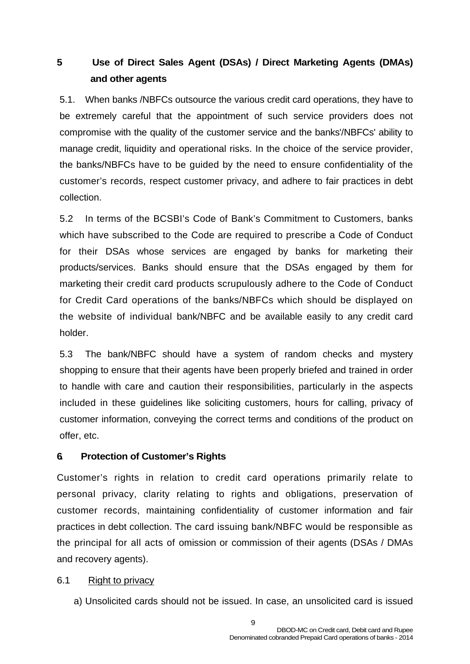## **5 Use of Direct Sales Agent (DSAs) / Direct Marketing Agents (DMAs) and other agents**

5.1. When banks /NBFCs outsource the various credit card operations, they have to be extremely careful that the appointment of such service providers does not compromise with the quality of the customer service and the banks'/NBFCs' ability to manage credit, liquidity and operational risks. In the choice of the service provider, the banks/NBFCs have to be guided by the need to ensure confidentiality of the customer's records, respect customer privacy, and adhere to fair practices in debt collection.

5.2 In terms of the BCSBI's Code of Bank's Commitment to Customers, banks which have subscribed to the Code are required to prescribe a Code of Conduct for their DSAs whose services are engaged by banks for marketing their products/services. Banks should ensure that the DSAs engaged by them for marketing their credit card products scrupulously adhere to the Code of Conduct for Credit Card operations of the banks/NBFCs which should be displayed on the website of individual bank/NBFC and be available easily to any credit card holder.

5.3 The bank/NBFC should have a system of random checks and mystery shopping to ensure that their agents have been properly briefed and trained in order to handle with care and caution their responsibilities, particularly in the aspects included in these guidelines like soliciting customers, hours for calling, privacy of customer information, conveying the correct terms and conditions of the product on offer, etc.

#### **6. Protection of Customer's Rights**

Customer's rights in relation to credit card operations primarily relate to personal privacy, clarity relating to rights and obligations, preservation of customer records, maintaining confidentiality of customer information and fair practices in debt collection. The card issuing bank/NBFC would be responsible as the principal for all acts of omission or commission of their agents (DSAs / DMAs and recovery agents).

#### 6.1 Right to privacy

a) Unsolicited cards should not be issued. In case, an unsolicited card is issued

9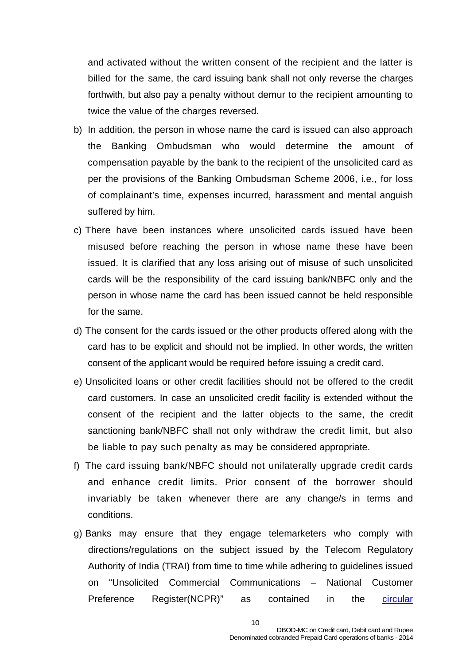and activated without the written consent of the recipient and the latter is billed for the same, the card issuing bank shall not only reverse the charges forthwith, but also pay a penalty without demur to the recipient amounting to twice the value of the charges reversed.

- b) In addition, the person in whose name the card is issued can also approach the Banking Ombudsman who would determine the amount of compensation payable by the bank to the recipient of the unsolicited card as per the provisions of the Banking Ombudsman Scheme 2006, i.e., for loss of complainant's time, expenses incurred, harassment and mental anguish suffered by him.
- c) There have been instances where unsolicited cards issued have been misused before reaching the person in whose name these have been issued. It is clarified that any loss arising out of misuse of such unsolicited cards will be the responsibility of the card issuing bank/NBFC only and the person in whose name the card has been issued cannot be held responsible for the same.
- d) The consent for the cards issued or the other products offered along with the card has to be explicit and should not be implied. In other words, the written consent of the applicant would be required before issuing a credit card.
- e) Unsolicited loans or other credit facilities should not be offered to the credit card customers. In case an unsolicited credit facility is extended without the consent of the recipient and the latter objects to the same, the credit sanctioning bank/NBFC shall not only withdraw the credit limit, but also be liable to pay such penalty as may be considered appropriate.
- f) The card issuing bank/NBFC should not unilaterally upgrade credit cards and enhance credit limits. Prior consent of the borrower should invariably be taken whenever there are any change/s in terms and conditions.
- g) Banks may ensure that they engage telemarketers who comply with directions/regulations on the subject issued by the Telecom Regulatory Authority of India (TRAI) from time to time while adhering to guidelines issued on "Unsolicited Commercial Communications – National Customer Preference Register(NCPR)" as contained in the [circular](http://rbi.org.in/scripts/NotificationUser.aspx?Id=8235&Mode=0)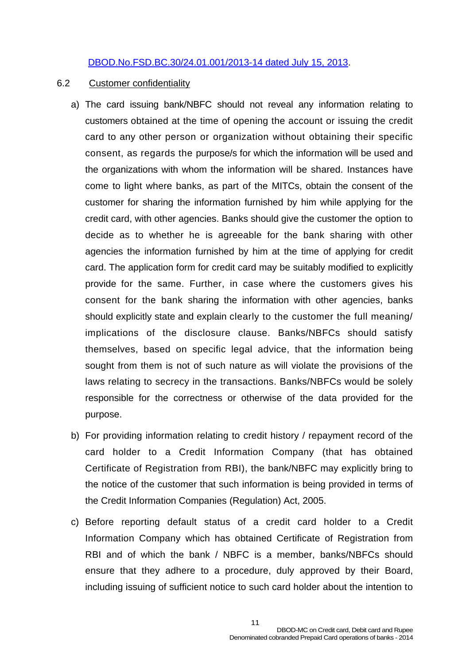#### [DBOD.No.FSD.BC.30/24.01.001/2013-14 dated July 15, 2013](http://rbi.org.in/scripts/NotificationUser.aspx?Id=8235&Mode=0).

#### 6.2 Customer confidentiality

- a) The card issuing bank/NBFC should not reveal any information relating to customers obtained at the time of opening the account or issuing the credit card to any other person or organization without obtaining their specific consent, as regards the purpose/s for which the information will be used and the organizations with whom the information will be shared. Instances have come to light where banks, as part of the MITCs, obtain the consent of the customer for sharing the information furnished by him while applying for the credit card, with other agencies. Banks should give the customer the option to decide as to whether he is agreeable for the bank sharing with other agencies the information furnished by him at the time of applying for credit card. The application form for credit card may be suitably modified to explicitly provide for the same. Further, in case where the customers gives his consent for the bank sharing the information with other agencies, banks should explicitly state and explain clearly to the customer the full meaning/ implications of the disclosure clause. Banks/NBFCs should satisfy themselves, based on specific legal advice, that the information being sought from them is not of such nature as will violate the provisions of the laws relating to secrecy in the transactions. Banks/NBFCs would be solely responsible for the correctness or otherwise of the data provided for the purpose.
- b) For providing information relating to credit history / repayment record of the card holder to a Credit Information Company (that has obtained Certificate of Registration from RBI), the bank/NBFC may explicitly bring to the notice of the customer that such information is being provided in terms of the Credit Information Companies (Regulation) Act, 2005.
- c) Before reporting default status of a credit card holder to a Credit Information Company which has obtained Certificate of Registration from RBI and of which the bank / NBFC is a member, banks/NBFCs should ensure that they adhere to a procedure, duly approved by their Board, including issuing of sufficient notice to such card holder about the intention to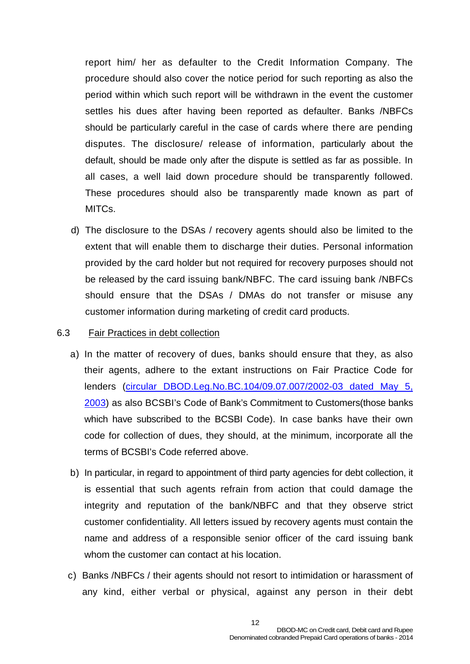report him/ her as defaulter to the Credit Information Company. The procedure should also cover the notice period for such reporting as also the period within which such report will be withdrawn in the event the customer settles his dues after having been reported as defaulter. Banks /NBFCs should be particularly careful in the case of cards where there are pending disputes. The disclosure/ release of information, particularly about the default, should be made only after the dispute is settled as far as possible. In all cases, a well laid down procedure should be transparently followed. These procedures should also be transparently made known as part of MITCs.

d) The disclosure to the DSAs / recovery agents should also be limited to the extent that will enable them to discharge their duties. Personal information provided by the card holder but not required for recovery purposes should not be released by the card issuing bank/NBFC. The card issuing bank /NBFCs should ensure that the DSAs / DMAs do not transfer or misuse any customer information during marketing of credit card products.

#### 6.3 Fair Practices in debt collection

- a) In the matter of recovery of dues, banks should ensure that they, as also their agents, adhere to the extant instructions on Fair Practice Code for lenders [\(circular DBOD.Leg.No.BC.104/09.07.007/2002-03 dated May 5,](http://www.rbi.org.in/scripts/NotificationUser.aspx?Id=1172&Mode=0)  [2003](http://www.rbi.org.in/scripts/NotificationUser.aspx?Id=1172&Mode=0)) as also BCSBI's Code of Bank's Commitment to Customers(those banks which have subscribed to the BCSBI Code). In case banks have their own code for collection of dues, they should, at the minimum, incorporate all the terms of BCSBI's Code referred above.
- b) In particular, in regard to appointment of third party agencies for debt collection, it is essential that such agents refrain from action that could damage the integrity and reputation of the bank/NBFC and that they observe strict customer confidentiality. All letters issued by recovery agents must contain the name and address of a responsible senior officer of the card issuing bank whom the customer can contact at his location.
- c) Banks /NBFCs / their agents should not resort to intimidation or harassment of any kind, either verbal or physical, against any person in their debt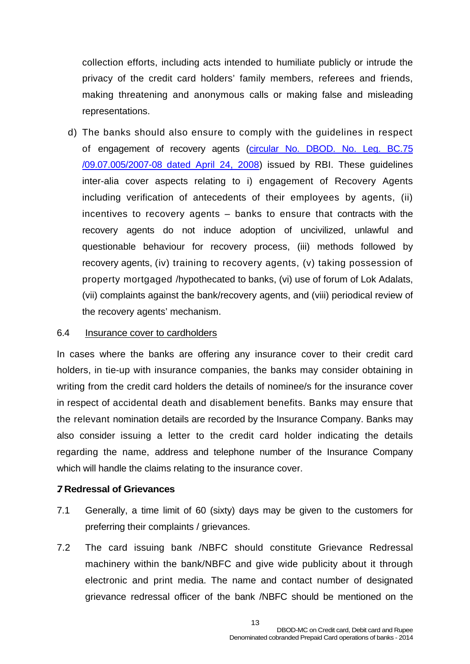collection efforts, including acts intended to humiliate publicly or intrude the privacy of the credit card holders' family members, referees and friends, making threatening and anonymous calls or making false and misleading representations.

d) The banks should also ensure to comply with the guidelines in respect of engagement of recovery agents ([circular No. DBOD. No. Leg. BC.75](http://www.rbi.org.in/scripts/NotificationUser.aspx?Id=4141&Mode=0)  [/09.07.005/2007-08 dated April 24, 2008](http://www.rbi.org.in/scripts/NotificationUser.aspx?Id=4141&Mode=0)) issued by RBI. These guidelines inter-alia cover aspects relating to i) engagement of Recovery Agents including verification of antecedents of their employees by agents, (ii) incentives to recovery agents – banks to ensure that contracts with the recovery agents do not induce adoption of uncivilized, unlawful and questionable behaviour for recovery process, (iii) methods followed by recovery agents, (iv) training to recovery agents, (v) taking possession of property mortgaged /hypothecated to banks, (vi) use of forum of Lok Adalats, (vii) complaints against the bank/recovery agents, and (viii) periodical review of the recovery agents' mechanism.

#### 6.4 Insurance cover to cardholders

In cases where the banks are offering any insurance cover to their credit card holders, in tie-up with insurance companies, the banks may consider obtaining in writing from the credit card holders the details of nominee/s for the insurance cover in respect of accidental death and disablement benefits. Banks may ensure that the relevant nomination details are recorded by the Insurance Company. Banks may also consider issuing a letter to the credit card holder indicating the details regarding the name, address and telephone number of the Insurance Company which will handle the claims relating to the insurance cover.

#### **. 7 Redressal of Grievances**

- 7.1 Generally, a time limit of 60 (sixty) days may be given to the customers for preferring their complaints / grievances.
- 7.2 The card issuing bank /NBFC should constitute Grievance Redressal machinery within the bank/NBFC and give wide publicity about it through electronic and print media. The name and contact number of designated grievance redressal officer of the bank /NBFC should be mentioned on the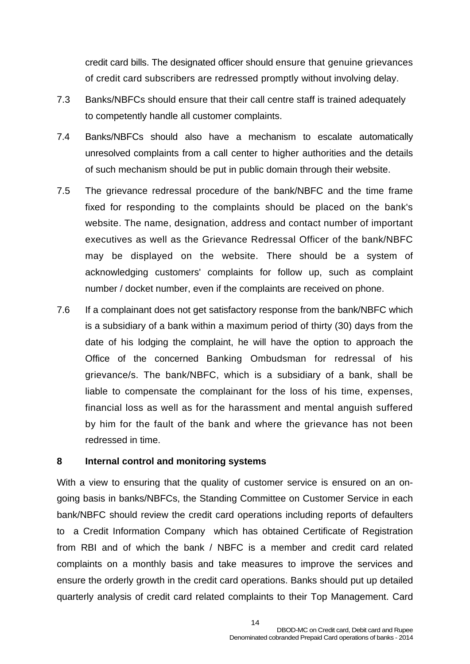credit card bills. The designated officer should ensure that genuine grievances of credit card subscribers are redressed promptly without involving delay.

- 7.3 Banks/NBFCs should ensure that their call centre staff is trained adequately to competently handle all customer complaints.
- 7.4 Banks/NBFCs should also have a mechanism to escalate automatically unresolved complaints from a call center to higher authorities and the details of such mechanism should be put in public domain through their website.
- 7.5 The grievance redressal procedure of the bank/NBFC and the time frame fixed for responding to the complaints should be placed on the bank's website. The name, designation, address and contact number of important executives as well as the Grievance Redressal Officer of the bank/NBFC may be displayed on the website. There should be a system of acknowledging customers' complaints for follow up, such as complaint number / docket number, even if the complaints are received on phone.
- 7.6 If a complainant does not get satisfactory response from the bank/NBFC which is a subsidiary of a bank within a maximum period of thirty (30) days from the date of his lodging the complaint, he will have the option to approach the Office of the concerned Banking Ombudsman for redressal of his grievance/s. The bank/NBFC, which is a subsidiary of a bank, shall be liable to compensate the complainant for the loss of his time, expenses, financial loss as well as for the harassment and mental anguish suffered by him for the fault of the bank and where the grievance has not been redressed in time.

#### **8 Internal control and monitoring systems**

With a view to ensuring that the quality of customer service is ensured on an ongoing basis in banks/NBFCs, the Standing Committee on Customer Service in each bank/NBFC should review the credit card operations including reports of defaulters to a Credit Information Company which has obtained Certificate of Registration from RBI and of which the bank / NBFC is a member and credit card related complaints on a monthly basis and take measures to improve the services and ensure the orderly growth in the credit card operations. Banks should put up detailed quarterly analysis of credit card related complaints to their Top Management. Card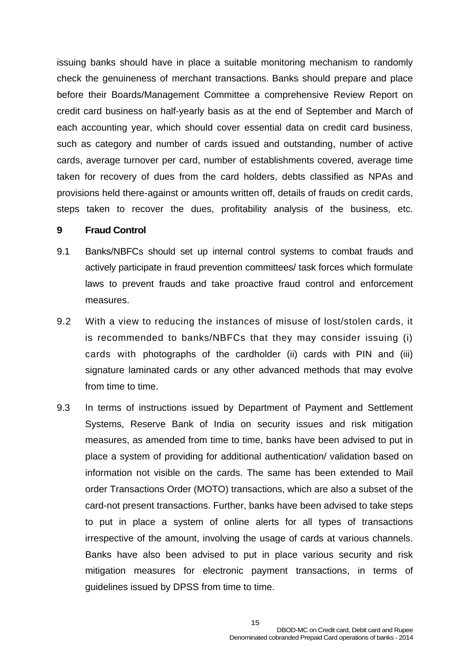issuing banks should have in place a suitable monitoring mechanism to randomly check the genuineness of merchant transactions. Banks should prepare and place before their Boards/Management Committee a comprehensive Review Report on credit card business on half-yearly basis as at the end of September and March of each accounting year, which should cover essential data on credit card business, such as category and number of cards issued and outstanding, number of active cards, average turnover per card, number of establishments covered, average time taken for recovery of dues from the card holders, debts classified as NPAs and provisions held there-against or amounts written off, details of frauds on credit cards, steps taken to recover the dues, profitability analysis of the business, etc.

#### **9 Fraud Control**

- 9.1 Banks/NBFCs should set up internal control systems to combat frauds and actively participate in fraud prevention committees/ task forces which formulate laws to prevent frauds and take proactive fraud control and enforcement measures.
- 9.2 With a view to reducing the instances of misuse of lost/stolen cards, it is recommended to banks/NBFCs that they may consider issuing (i) cards with photographs of the cardholder (ii) cards with PIN and (iii) signature laminated cards or any other advanced methods that may evolve from time to time.
- 9.3 In terms of instructions issued by Department of Payment and Settlement Systems, Reserve Bank of India on security issues and risk mitigation measures, as amended from time to time, banks have been advised to put in place a system of providing for additional authentication/ validation based on information not visible on the cards. The same has been extended to Mail order Transactions Order (MOTO) transactions, which are also a subset of the card-not present transactions. Further, banks have been advised to take steps to put in place a system of online alerts for all types of transactions irrespective of the amount, involving the usage of cards at various channels. Banks have also been advised to put in place various security and risk mitigation measures for electronic payment transactions, in terms of guidelines issued by DPSS from time to time.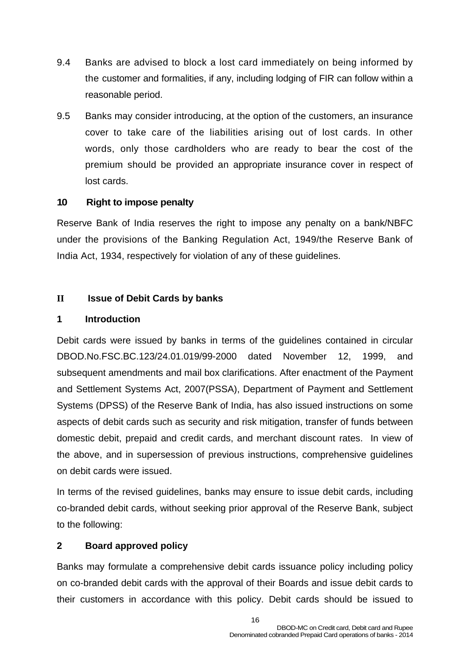- 9.4 Banks are advised to block a lost card immediately on being informed by the customer and formalities, if any, including lodging of FIR can follow within a reasonable period.
- 9.5 Banks may consider introducing, at the option of the customers, an insurance cover to take care of the liabilities arising out of lost cards. In other words, only those cardholders who are ready to bear the cost of the premium should be provided an appropriate insurance cover in respect of lost cards.

#### **10 Right to impose penalty**

Reserve Bank of India reserves the right to impose any penalty on a bank/NBFC under the provisions of the Banking Regulation Act, 1949/the Reserve Bank of India Act, 1934, respectively for violation of any of these guidelines.

#### **II Issue of Debit Cards by banks**

#### **1 Introduction**

Debit cards were issued by banks in terms of the guidelines contained in circular DBOD.No.FSC.BC.123/24.01.019/99-2000 dated November 12, 1999, and subsequent amendments and mail box clarifications. After enactment of the Payment and Settlement Systems Act, 2007(PSSA), Department of Payment and Settlement Systems (DPSS) of the Reserve Bank of India, has also issued instructions on some aspects of debit cards such as security and risk mitigation, transfer of funds between domestic debit, prepaid and credit cards, and merchant discount rates. In view of the above, and in supersession of previous instructions, comprehensive guidelines on debit cards were issued.

In terms of the revised guidelines, banks may ensure to issue debit cards, including co-branded debit cards, without seeking prior approval of the Reserve Bank, subject to the following:

#### **2 Board approved policy**

Banks may formulate a comprehensive debit cards issuance policy including policy on co-branded debit cards with the approval of their Boards and issue debit cards to their customers in accordance with this policy. Debit cards should be issued to

16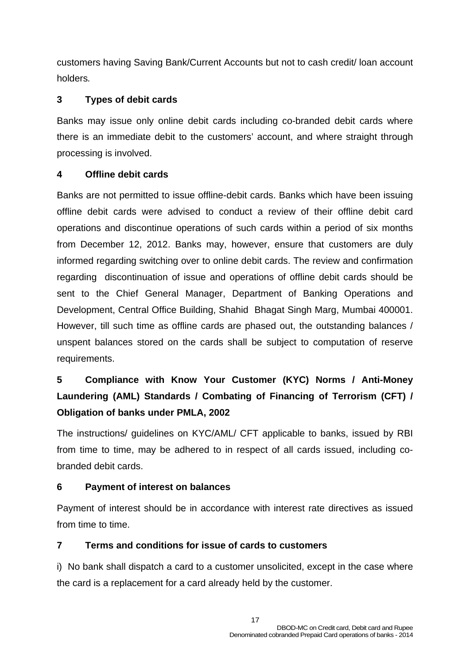customers having Saving Bank/Current Accounts but not to cash credit/ loan account holders*.*

## **3 Types of debit cards**

Banks may issue only online debit cards including co-branded debit cards where there is an immediate debit to the customers' account, and where straight through processing is involved.

## **4 Offline debit cards**

Banks are not permitted to issue offline-debit cards. Banks which have been issuing offline debit cards were advised to conduct a review of their offline debit card operations and discontinue operations of such cards within a period of six months from December 12, 2012. Banks may, however, ensure that customers are duly informed regarding switching over to online debit cards. The review and confirmation regarding discontinuation of issue and operations of offline debit cards should be sent to the Chief General Manager, Department of Banking Operations and Development, Central Office Building, Shahid Bhagat Singh Marg, Mumbai 400001. However, till such time as offline cards are phased out, the outstanding balances / unspent balances stored on the cards shall be subject to computation of reserve requirements.

# **5 Compliance with Know Your Customer (KYC) Norms / Anti-Money Laundering (AML) Standards / Combating of Financing of Terrorism (CFT) / Obligation of banks under PMLA, 2002**

The instructions/ guidelines on KYC/AML/ CFT applicable to banks, issued by RBI from time to time, may be adhered to in respect of all cards issued, including cobranded debit cards.

## **6 Payment of interest on balances**

Payment of interest should be in accordance with interest rate directives as issued from time to time.

## **7 Terms and conditions for issue of cards to customers**

i) No bank shall dispatch a card to a customer unsolicited, except in the case where the card is a replacement for a card already held by the customer.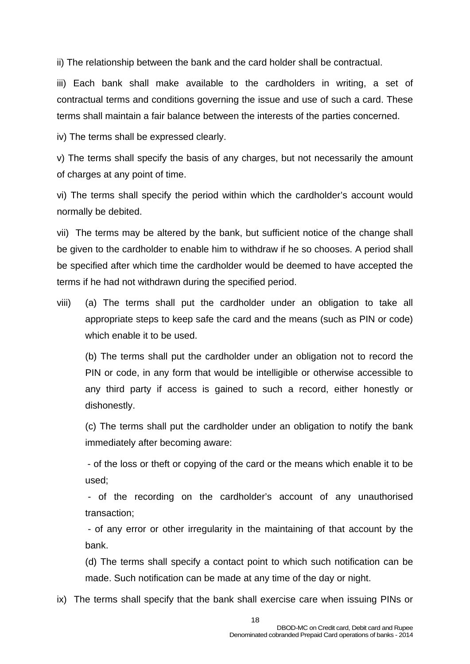ii) The relationship between the bank and the card holder shall be contractual.

iii) Each bank shall make available to the cardholders in writing, a set of contractual terms and conditions governing the issue and use of such a card. These terms shall maintain a fair balance between the interests of the parties concerned.

iv) The terms shall be expressed clearly.

v) The terms shall specify the basis of any charges, but not necessarily the amount of charges at any point of time.

vi) The terms shall specify the period within which the cardholder's account would normally be debited.

vii) The terms may be altered by the bank, but sufficient notice of the change shall be given to the cardholder to enable him to withdraw if he so chooses. A period shall be specified after which time the cardholder would be deemed to have accepted the terms if he had not withdrawn during the specified period.

viii) (a) The terms shall put the cardholder under an obligation to take all appropriate steps to keep safe the card and the means (such as PIN or code) which enable it to be used.

(b) The terms shall put the cardholder under an obligation not to record the PIN or code, in any form that would be intelligible or otherwise accessible to any third party if access is gained to such a record, either honestly or dishonestly.

(c) The terms shall put the cardholder under an obligation to notify the bank immediately after becoming aware:

- of the loss or theft or copying of the card or the means which enable it to be used;

 - of the recording on the cardholder's account of any unauthorised transaction;

 - of any error or other irregularity in the maintaining of that account by the bank.

(d) The terms shall specify a contact point to which such notification can be made. Such notification can be made at any time of the day or night.

ix) The terms shall specify that the bank shall exercise care when issuing PINs or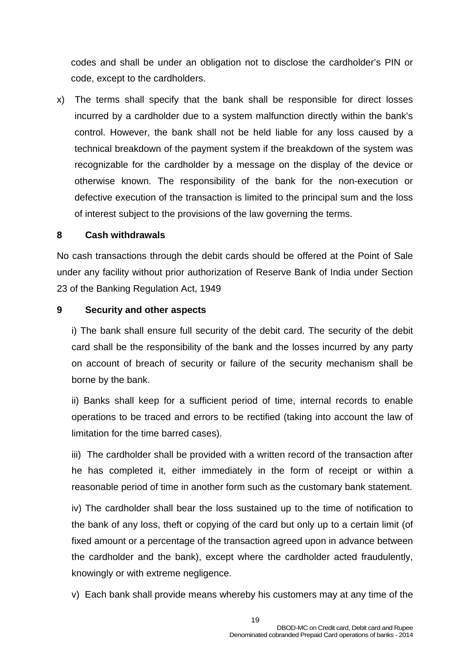codes and shall be under an obligation not to disclose the cardholder's PIN or code, except to the cardholders.

x) The terms shall specify that the bank shall be responsible for direct losses incurred by a cardholder due to a system malfunction directly within the bank's control. However, the bank shall not be held liable for any loss caused by a technical breakdown of the payment system if the breakdown of the system was recognizable for the cardholder by a message on the display of the device or otherwise known. The responsibility of the bank for the non-execution or defective execution of the transaction is limited to the principal sum and the loss of interest subject to the provisions of the law governing the terms.

#### **8 Cash withdrawals**

No cash transactions through the debit cards should be offered at the Point of Sale under any facility without prior authorization of Reserve Bank of India under Section 23 of the Banking Regulation Act, 1949

#### **9 Security and other aspects**

i) The bank shall ensure full security of the debit card. The security of the debit card shall be the responsibility of the bank and the losses incurred by any party on account of breach of security or failure of the security mechanism shall be borne by the bank.

ii) Banks shall keep for a sufficient period of time, internal records to enable operations to be traced and errors to be rectified (taking into account the law of limitation for the time barred cases).

iii) The cardholder shall be provided with a written record of the transaction after he has completed it, either immediately in the form of receipt or within a reasonable period of time in another form such as the customary bank statement.

iv) The cardholder shall bear the loss sustained up to the time of notification to the bank of any loss, theft or copying of the card but only up to a certain limit (of fixed amount or a percentage of the transaction agreed upon in advance between the cardholder and the bank), except where the cardholder acted fraudulently, knowingly or with extreme negligence.

v) Each bank shall provide means whereby his customers may at any time of the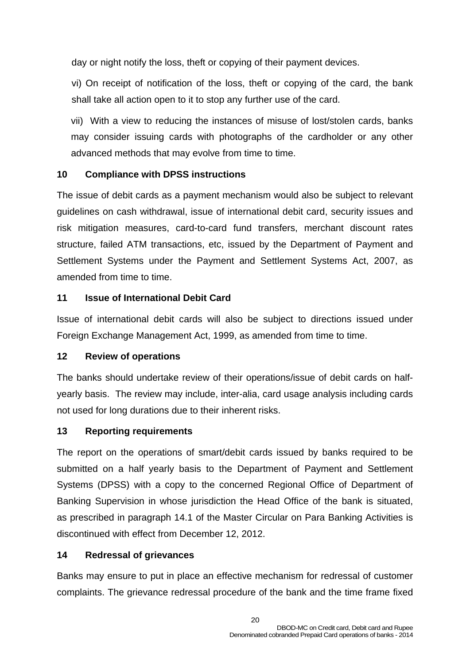day or night notify the loss, theft or copying of their payment devices.

vi) On receipt of notification of the loss, theft or copying of the card, the bank shall take all action open to it to stop any further use of the card.

vii) With a view to reducing the instances of misuse of lost/stolen cards, banks may consider issuing cards with photographs of the cardholder or any other advanced methods that may evolve from time to time.

## **10 Compliance with DPSS instructions**

The issue of debit cards as a payment mechanism would also be subject to relevant guidelines on cash withdrawal, issue of international debit card, security issues and risk mitigation measures, card-to-card fund transfers, merchant discount rates structure, failed ATM transactions, etc, issued by the Department of Payment and Settlement Systems under the Payment and Settlement Systems Act, 2007, as amended from time to time.

## **11 Issue of International Debit Card**

Issue of international debit cards will also be subject to directions issued under Foreign Exchange Management Act, 1999, as amended from time to time.

#### **12 Review of operations**

The banks should undertake review of their operations/issue of debit cards on halfyearly basis. The review may include, inter-alia, card usage analysis including cards not used for long durations due to their inherent risks.

#### **13 Reporting requirements**

The report on the operations of smart/debit cards issued by banks required to be submitted on a half yearly basis to the Department of Payment and Settlement Systems (DPSS) with a copy to the concerned Regional Office of Department of Banking Supervision in whose jurisdiction the Head Office of the bank is situated, as prescribed in paragraph 14.1 of the Master Circular on Para Banking Activities is discontinued with effect from December 12, 2012.

## **14 Redressal of grievances**

Banks may ensure to put in place an effective mechanism for redressal of customer complaints. The grievance redressal procedure of the bank and the time frame fixed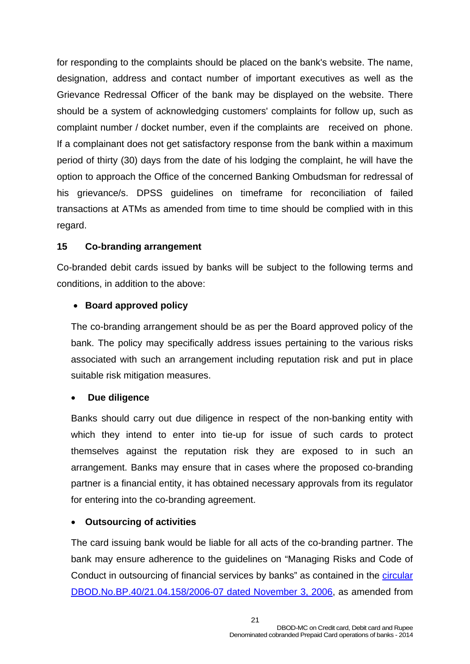for responding to the complaints should be placed on the bank's website. The name, designation, address and contact number of important executives as well as the Grievance Redressal Officer of the bank may be displayed on the website. There should be a system of acknowledging customers' complaints for follow up, such as complaint number / docket number, even if the complaints are received on phone. If a complainant does not get satisfactory response from the bank within a maximum period of thirty (30) days from the date of his lodging the complaint, he will have the option to approach the Office of the concerned Banking Ombudsman for redressal of his grievance/s. DPSS guidelines on timeframe for reconciliation of failed transactions at ATMs as amended from time to time should be complied with in this regard.

## **15 Co-branding arrangement**

Co-branded debit cards issued by banks will be subject to the following terms and conditions, in addition to the above:

## • **Board approved policy**

The co-branding arrangement should be as per the Board approved policy of the bank. The policy may specifically address issues pertaining to the various risks associated with such an arrangement including reputation risk and put in place suitable risk mitigation measures.

#### • **Due diligence**

Banks should carry out due diligence in respect of the non-banking entity with which they intend to enter into tie-up for issue of such cards to protect themselves against the reputation risk they are exposed to in such an arrangement. Banks may ensure that in cases where the proposed co-branding partner is a financial entity, it has obtained necessary approvals from its regulator for entering into the co-branding agreement.

#### • **Outsourcing of activities**

The card issuing bank would be liable for all acts of the co-branding partner. The bank may ensure adherence to the guidelines on "Managing Risks and Code of Conduct in outsourcing of financial services by banks" as contained in the [circular](http://www.rbi.org.in/scripts/NotificationUser.aspx?Id=3148&Mode=0)  [DBOD.No.BP.40/21.04.158/2006-07 dated November 3, 2006](http://www.rbi.org.in/scripts/NotificationUser.aspx?Id=3148&Mode=0), as amended from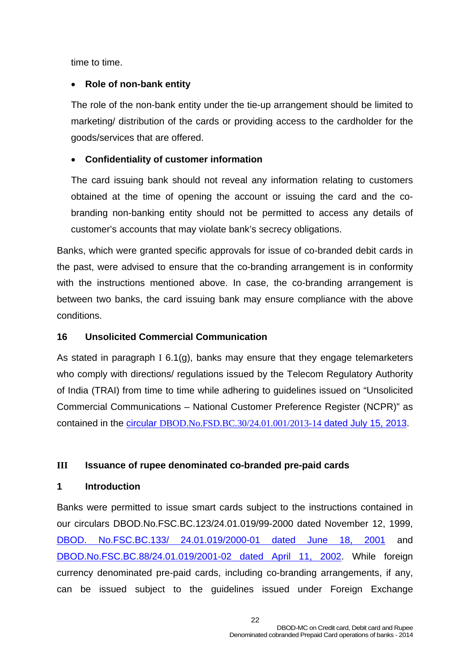time to time.

#### • **Role of non-bank entity**

The role of the non-bank entity under the tie-up arrangement should be limited to marketing/ distribution of the cards or providing access to the cardholder for the goods/services that are offered.

## • **Confidentiality of customer information**

The card issuing bank should not reveal any information relating to customers obtained at the time of opening the account or issuing the card and the cobranding non-banking entity should not be permitted to access any details of customer's accounts that may violate bank's secrecy obligations.

Banks, which were granted specific approvals for issue of co-branded debit cards in the past, were advised to ensure that the co-branding arrangement is in conformity with the instructions mentioned above. In case, the co-branding arrangement is between two banks, the card issuing bank may ensure compliance with the above conditions.

#### **16 Unsolicited Commercial Communication**

As stated in paragraph I 6.1(g), banks may ensure that they engage telemarketers who comply with directions/ regulations issued by the Telecom Regulatory Authority of India (TRAI) from time to time while adhering to guidelines issued on "Unsolicited Commercial Communications – National Customer Preference Register (NCPR)" as contained in the circular [DBOD.No.FSD.BC.30/24.01.001/2013-14](http://rbi.org.in/scripts/NotificationUser.aspx?Id=8235&Mode=0) dated July 15, 2013.

## **III Issuance of rupee denominated co-branded pre-paid cards**

#### **1 Introduction**

Banks were permitted to issue smart cards subject to the instructions contained in our circulars DBOD.No.FSC.BC.123/24.01.019/99-2000 dated November 12, 1999, [DBOD. No.FSC.BC.133/ 24.01.019/2000-01 dated June 18, 2001](http://www.rbi.org.in/scripts/NotificationUser.aspx?Id=413&Mode=0) and [DBOD.No.FSC.BC.88/24.01.019/2001-02 dated April 11, 2002.](http://rbi.org.in/scripts/NotificationUser.aspx?Id=624&Mode=0) While foreign currency denominated pre-paid cards, including co-branding arrangements, if any, can be issued subject to the guidelines issued under Foreign Exchange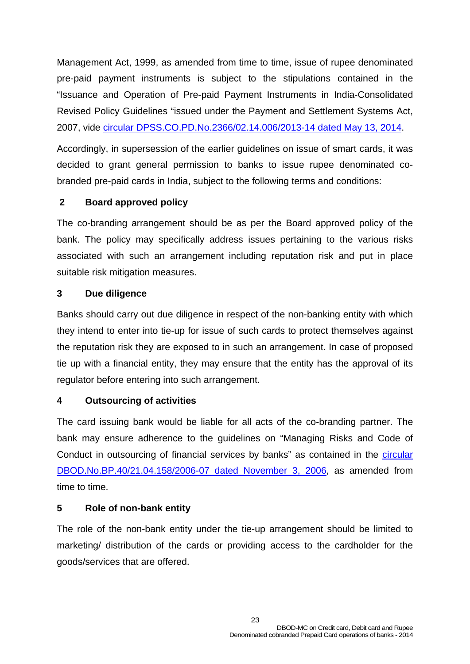Management Act, 1999, as amended from time to time, issue of rupee denominated pre-paid payment instruments is subject to the stipulations contained in the "Issuance and Operation of Pre-paid Payment Instruments in India-Consolidated Revised Policy Guidelines "issued under the Payment and Settlement Systems Act, 2007, vide [circular DPSS.CO.PD.No.2366/02.14.006/2013-14 dated May 13, 2014.](http://rbi.org.in/scripts/NotificationUser.aspx?Id=8876&Mode=0)

Accordingly, in supersession of the earlier guidelines on issue of smart cards, it was decided to grant general permission to banks to issue rupee denominated cobranded pre-paid cards in India, subject to the following terms and conditions:

## **2 Board approved policy**

The co-branding arrangement should be as per the Board approved policy of the bank. The policy may specifically address issues pertaining to the various risks associated with such an arrangement including reputation risk and put in place suitable risk mitigation measures.

#### **3 Due diligence**

Banks should carry out due diligence in respect of the non-banking entity with which they intend to enter into tie-up for issue of such cards to protect themselves against the reputation risk they are exposed to in such an arrangement. In case of proposed tie up with a financial entity, they may ensure that the entity has the approval of its regulator before entering into such arrangement.

#### **4 Outsourcing of activities**

The card issuing bank would be liable for all acts of the co-branding partner. The bank may ensure adherence to the guidelines on "Managing Risks and Code of Conduct in outsourcing of financial services by banks" as contained in the *circular* [DBOD.No.BP.40/21.04.158/2006-07 dated November 3, 2006,](http://www.rbi.org.in/scripts/NotificationUser.aspx?Id=3148&Mode=0) as amended from time to time.

#### **5 Role of non-bank entity**

The role of the non-bank entity under the tie-up arrangement should be limited to marketing/ distribution of the cards or providing access to the cardholder for the goods/services that are offered.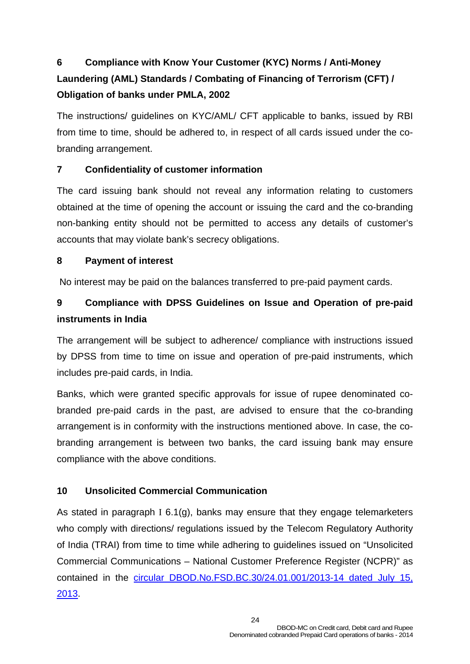# **6 Compliance with Know Your Customer (KYC) Norms / Anti-Money Laundering (AML) Standards / Combating of Financing of Terrorism (CFT) / Obligation of banks under PMLA, 2002**

The instructions/ guidelines on KYC/AML/ CFT applicable to banks, issued by RBI from time to time, should be adhered to, in respect of all cards issued under the cobranding arrangement.

## **7 Confidentiality of customer information**

The card issuing bank should not reveal any information relating to customers obtained at the time of opening the account or issuing the card and the co-branding non-banking entity should not be permitted to access any details of customer's accounts that may violate bank's secrecy obligations.

#### **8 Payment of interest**

No interest may be paid on the balances transferred to pre-paid payment cards.

# **9 Compliance with DPSS Guidelines on Issue and Operation of pre-paid instruments in India**

The arrangement will be subject to adherence/ compliance with instructions issued by DPSS from time to time on issue and operation of pre-paid instruments, which includes pre-paid cards, in India.

Banks, which were granted specific approvals for issue of rupee denominated cobranded pre-paid cards in the past, are advised to ensure that the co-branding arrangement is in conformity with the instructions mentioned above. In case, the cobranding arrangement is between two banks, the card issuing bank may ensure compliance with the above conditions.

## **10 Unsolicited Commercial Communication**

As stated in paragraph I 6.1(g), banks may ensure that they engage telemarketers who comply with directions/ regulations issued by the Telecom Regulatory Authority of India (TRAI) from time to time while adhering to guidelines issued on "Unsolicited Commercial Communications – National Customer Preference Register (NCPR)" as contained in the [circular DBOD.No.FSD.BC.30/24.01.001/2013-14 dated July 15,](http://rbi.org.in/scripts/NotificationUser.aspx?Id=8235&Mode=0) [2013.](http://rbi.org.in/scripts/NotificationUser.aspx?Id=8235&Mode=0)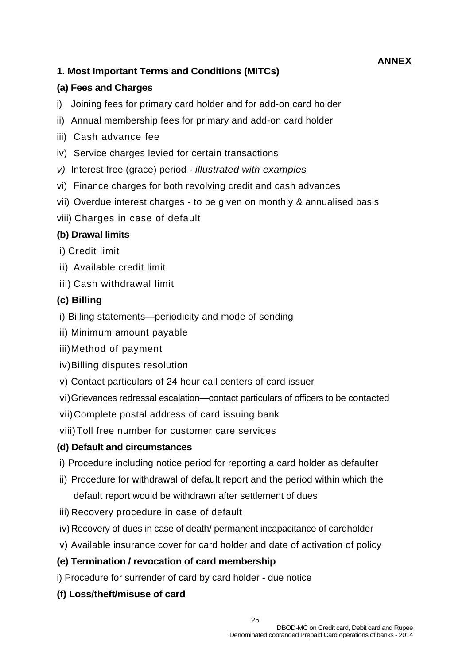## **ANNEX**

## **1. Most Important Terms and Conditions (MITCs)**

#### **(a) Fees and Charges**

- i) Joining fees for primary card holder and for add-on card holder
- ii) Annual membership fees for primary and add-on card holder
- iii) Cash advance fee
- iv) Service charges levied for certain transactions
- *v)* Interest free (grace) period *illustrated with examples*
- vi) Finance charges for both revolving credit and cash advances
- vii) Overdue interest charges to be given on monthly & annualised basis
- viii) Charges in case of default

#### **(b) Drawal limits**

- i) Credit limit
- ii) Available credit limit
- iii) Cash withdrawal limit

#### **(c) Billing**

- i) Billing statements—periodicity and mode of sending
- ii) Minimum amount payable
- iii) Method of payment
- iv) Billing disputes resolution
- v) Contact particulars of 24 hour call centers of card issuer
- vi) Grievances redressal escalation—contact particulars of officers to be contacted
- vii) Complete postal address of card issuing bank
- viii) Toll free number for customer care services

#### **(d) Default and circumstances**

- i) Procedure including notice period for reporting a card holder as defaulter
- ii) Procedure for withdrawal of default report and the period within which the default report would be withdrawn after settlement of dues
- iii) Recovery procedure in case of default
- iv) Recovery of dues in case of death/ permanent incapacitance of cardholder
- v) Available insurance cover for card holder and date of activation of policy

#### **(e) Termination / revocation of card membership**

- i) Procedure for surrender of card by card holder due notice
- **(f) Loss/theft/misuse of card**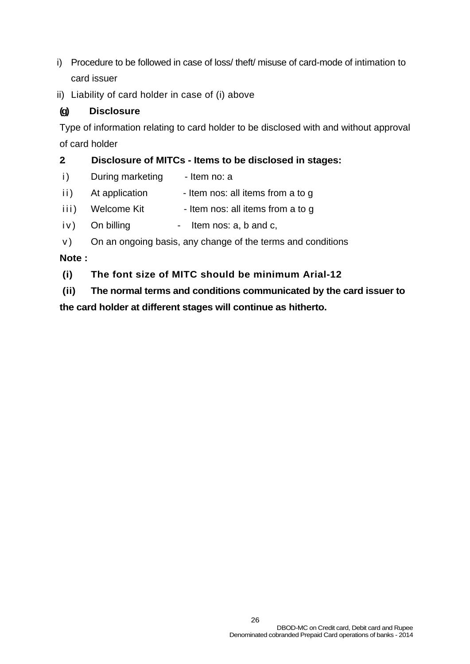- i) Procedure to be followed in case of loss/ theft/ misuse of card-mode of intimation to card issuer
- ii) Liability of card holder in case of (i) above

## **(g) Disclosure**

Type of information relating to card holder to be disclosed with and without approval of card holder

## **2. Disclosure of MITCs - Items to be disclosed in stages:**

- i) During marketing Item no: a
- ii) At application Item nos: all items from a to g
- iii) Welcome Kit Item nos: all items from a to g
- iv) On billing Item nos: a, b and c,
- v) On an ongoing basis, any change of the terms and conditions

## **Note :**

**(i) The font size of MITC should be minimum Arial-12** 

**(ii) The normal terms and conditions communicated by the card issuer to the card holder at different stages will continue as hitherto.**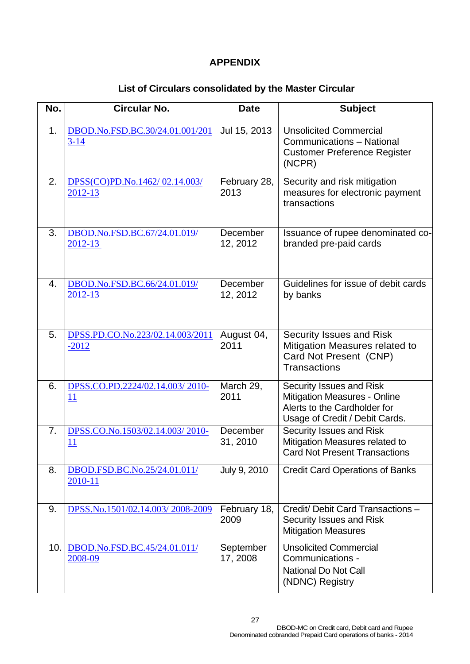#### **APPENDIX**

## **List of Circulars consolidated by the Master Circular**

| No. | <b>Circular No.</b>                         | <b>Date</b>           | <b>Subject</b>                                                                                                                    |
|-----|---------------------------------------------|-----------------------|-----------------------------------------------------------------------------------------------------------------------------------|
| 1.  | DBOD.No.FSD.BC.30/24.01.001/201<br>$3 - 14$ | Jul 15, 2013          | <b>Unsolicited Commercial</b><br>Communications - National<br><b>Customer Preference Register</b><br>(NCPR)                       |
| 2.  | DPSS(CO)PD.No.1462/02.14.003/<br>2012-13    | February 28,<br>2013  | Security and risk mitigation<br>measures for electronic payment<br>transactions                                                   |
| 3.  | DBOD.No.FSD.BC.67/24.01.019/<br>2012-13     | December<br>12, 2012  | Issuance of rupee denominated co-<br>branded pre-paid cards                                                                       |
| 4.  | DBOD.No.FSD.BC.66/24.01.019/<br>2012-13     | December<br>12, 2012  | Guidelines for issue of debit cards<br>by banks                                                                                   |
| 5.  | DPSS.PD.CO.No.223/02.14.003/2011<br>$-2012$ | August 04,<br>2011    | Security Issues and Risk<br>Mitigation Measures related to<br>Card Not Present (CNP)<br><b>Transactions</b>                       |
| 6.  | DPSS.CO.PD.2224/02.14.003/2010-<br>11       | March 29,<br>2011     | Security Issues and Risk<br><b>Mitigation Measures - Online</b><br>Alerts to the Cardholder for<br>Usage of Credit / Debit Cards. |
| 7.  | DPSS.CO.No.1503/02.14.003/2010-<br>11       | December<br>31, 2010  | Security Issues and Risk<br>Mitigation Measures related to<br><b>Card Not Present Transactions</b>                                |
| 8.  | DBOD.FSD.BC.No.25/24.01.011/<br>2010-11     | July 9, 2010          | <b>Credit Card Operations of Banks</b>                                                                                            |
| 9.  | DPSS.No.1501/02.14.003/2008-2009            | February 18,<br>2009  | Credit/ Debit Card Transactions -<br>Security Issues and Risk<br><b>Mitigation Measures</b>                                       |
|     | 10. DBOD.No.FSD.BC.45/24.01.011/<br>2008-09 | September<br>17, 2008 | <b>Unsolicited Commercial</b><br>Communications -<br><b>National Do Not Call</b><br>(NDNC) Registry                               |